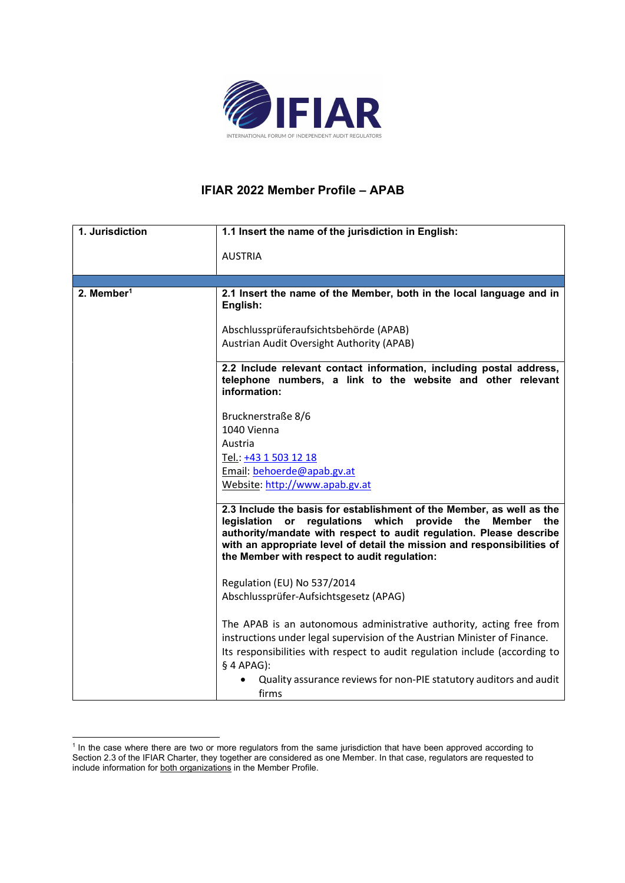

## IFIAR 2022 Member Profile – APAB

| 1. Jurisdiction          | 1.1 Insert the name of the jurisdiction in English:                                                                                                                                                                                                                                                                                                         |
|--------------------------|-------------------------------------------------------------------------------------------------------------------------------------------------------------------------------------------------------------------------------------------------------------------------------------------------------------------------------------------------------------|
|                          |                                                                                                                                                                                                                                                                                                                                                             |
|                          | <b>AUSTRIA</b>                                                                                                                                                                                                                                                                                                                                              |
|                          |                                                                                                                                                                                                                                                                                                                                                             |
| $2.$ Member <sup>1</sup> | 2.1 Insert the name of the Member, both in the local language and in<br>English:                                                                                                                                                                                                                                                                            |
|                          | Abschlussprüferaufsichtsbehörde (APAB)                                                                                                                                                                                                                                                                                                                      |
|                          | Austrian Audit Oversight Authority (APAB)                                                                                                                                                                                                                                                                                                                   |
|                          | 2.2 Include relevant contact information, including postal address,<br>telephone numbers, a link to the website and other relevant<br>information:                                                                                                                                                                                                          |
|                          | Brucknerstraße 8/6                                                                                                                                                                                                                                                                                                                                          |
|                          | 1040 Vienna                                                                                                                                                                                                                                                                                                                                                 |
|                          | Austria                                                                                                                                                                                                                                                                                                                                                     |
|                          | Tel.: +43 1 503 12 18                                                                                                                                                                                                                                                                                                                                       |
|                          | Email: behoerde@apab.gv.at                                                                                                                                                                                                                                                                                                                                  |
|                          | Website: http://www.apab.gv.at                                                                                                                                                                                                                                                                                                                              |
|                          | 2.3 Include the basis for establishment of the Member, as well as the<br>legislation<br>regulations<br>which<br>provide the<br><b>Member</b><br>the<br>or<br>authority/mandate with respect to audit regulation. Please describe<br>with an appropriate level of detail the mission and responsibilities of<br>the Member with respect to audit regulation: |
|                          | Regulation (EU) No 537/2014                                                                                                                                                                                                                                                                                                                                 |
|                          | Abschlussprüfer-Aufsichtsgesetz (APAG)                                                                                                                                                                                                                                                                                                                      |
|                          | The APAB is an autonomous administrative authority, acting free from<br>instructions under legal supervision of the Austrian Minister of Finance.<br>Its responsibilities with respect to audit regulation include (according to                                                                                                                            |
|                          | $§$ 4 APAG):<br>Quality assurance reviews for non-PIE statutory auditors and audit<br>firms                                                                                                                                                                                                                                                                 |

<sup>&</sup>lt;sup>1</sup> In the case where there are two or more regulators from the same jurisdiction that have been approved according to Section 2.3 of the IFIAR Charter, they together are considered as one Member. In that case, regulators are requested to include information for both organizations in the Member Profile.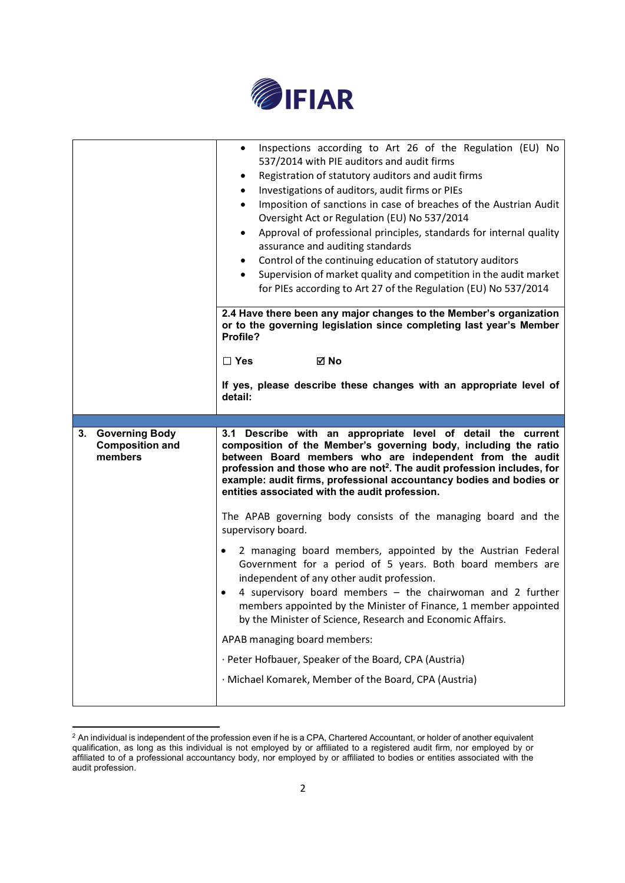

|                                                        | Inspections according to Art 26 of the Regulation (EU) No<br>537/2014 with PIE auditors and audit firms<br>Registration of statutory auditors and audit firms<br>Investigations of auditors, audit firms or PIEs<br>Imposition of sanctions in case of breaches of the Austrian Audit<br>Oversight Act or Regulation (EU) No 537/2014<br>Approval of professional principles, standards for internal quality<br>$\bullet$<br>assurance and auditing standards<br>Control of the continuing education of statutory auditors<br>Supervision of market quality and competition in the audit market<br>for PIEs according to Art 27 of the Regulation (EU) No 537/2014<br>2.4 Have there been any major changes to the Member's organization |  |
|--------------------------------------------------------|------------------------------------------------------------------------------------------------------------------------------------------------------------------------------------------------------------------------------------------------------------------------------------------------------------------------------------------------------------------------------------------------------------------------------------------------------------------------------------------------------------------------------------------------------------------------------------------------------------------------------------------------------------------------------------------------------------------------------------------|--|
|                                                        | or to the governing legislation since completing last year's Member<br>Profile?                                                                                                                                                                                                                                                                                                                                                                                                                                                                                                                                                                                                                                                          |  |
|                                                        | <b>⊠</b> No<br>$\Box$ Yes                                                                                                                                                                                                                                                                                                                                                                                                                                                                                                                                                                                                                                                                                                                |  |
|                                                        | If yes, please describe these changes with an appropriate level of<br>detail:                                                                                                                                                                                                                                                                                                                                                                                                                                                                                                                                                                                                                                                            |  |
|                                                        | 3.1 Describe with an appropriate level of detail the current<br>composition of the Member's governing body, including the ratio<br>between Board members who are independent from the audit<br>profession and those who are not <sup>2</sup> . The audit profession includes, for<br>example: audit firms, professional accountancy bodies and bodies or<br>entities associated with the audit profession.                                                                                                                                                                                                                                                                                                                               |  |
| 3. Governing Body<br><b>Composition and</b><br>members |                                                                                                                                                                                                                                                                                                                                                                                                                                                                                                                                                                                                                                                                                                                                          |  |
|                                                        | The APAB governing body consists of the managing board and the<br>supervisory board.                                                                                                                                                                                                                                                                                                                                                                                                                                                                                                                                                                                                                                                     |  |
|                                                        | 2 managing board members, appointed by the Austrian Federal<br>Government for a period of 5 years. Both board members are<br>independent of any other audit profession.<br>4 supervisory board members - the chairwoman and 2 further<br>members appointed by the Minister of Finance, 1 member appointed<br>by the Minister of Science, Research and Economic Affairs.                                                                                                                                                                                                                                                                                                                                                                  |  |
|                                                        | APAB managing board members:                                                                                                                                                                                                                                                                                                                                                                                                                                                                                                                                                                                                                                                                                                             |  |
|                                                        | · Peter Hofbauer, Speaker of the Board, CPA (Austria)                                                                                                                                                                                                                                                                                                                                                                                                                                                                                                                                                                                                                                                                                    |  |

 $^2$  An individual is independent of the profession even if he is a CPA, Chartered Accountant, or holder of another equivalent qualification, as long as this individual is not employed by or affiliated to a registered audit firm, nor employed by or affiliated to of a professional accountancy body, nor employed by or affiliated to bodies or entities associated with the audit profession.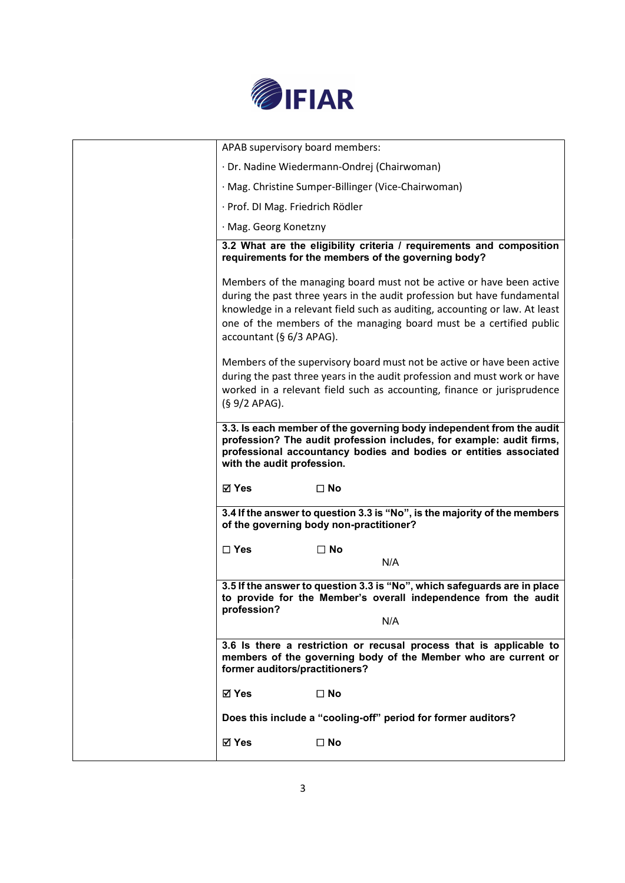

| ⊠ Yes                            | $\square$ No                                                                                                                                                                                                                                                                                           |
|----------------------------------|--------------------------------------------------------------------------------------------------------------------------------------------------------------------------------------------------------------------------------------------------------------------------------------------------------|
|                                  | Does this include a "cooling-off" period for former auditors?                                                                                                                                                                                                                                          |
| <b>⊠ Yes</b>                     | $\square$ No                                                                                                                                                                                                                                                                                           |
| former auditors/practitioners?   | members of the governing body of the Member who are current or                                                                                                                                                                                                                                         |
|                                  | 3.6 Is there a restriction or recusal process that is applicable to                                                                                                                                                                                                                                    |
| profession?                      | to provide for the Member's overall independence from the audit<br>N/A                                                                                                                                                                                                                                 |
|                                  | 3.5 If the answer to question 3.3 is "No", which safeguards are in place                                                                                                                                                                                                                               |
| $\square$ Yes                    | $\square$ No<br>N/A                                                                                                                                                                                                                                                                                    |
|                                  | 3.4 If the answer to question 3.3 is "No", is the majority of the members<br>of the governing body non-practitioner?                                                                                                                                                                                   |
| ⊠ Yes                            | $\square$ No                                                                                                                                                                                                                                                                                           |
| with the audit profession.       | 3.3. Is each member of the governing body independent from the audit<br>profession? The audit profession includes, for example: audit firms,<br>professional accountancy bodies and bodies or entities associated                                                                                      |
| (§ 9/2 APAG).                    | Members of the supervisory board must not be active or have been active<br>during the past three years in the audit profession and must work or have<br>worked in a relevant field such as accounting, finance or jurisprudence                                                                        |
| accountant (§ 6/3 APAG).         | Members of the managing board must not be active or have been active<br>during the past three years in the audit profession but have fundamental<br>knowledge in a relevant field such as auditing, accounting or law. At least<br>one of the members of the managing board must be a certified public |
|                                  | 3.2 What are the eligibility criteria / requirements and composition<br>requirements for the members of the governing body?                                                                                                                                                                            |
| · Mag. Georg Konetzny            |                                                                                                                                                                                                                                                                                                        |
| · Prof. DI Mag. Friedrich Rödler |                                                                                                                                                                                                                                                                                                        |
|                                  | · Mag. Christine Sumper-Billinger (Vice-Chairwoman)                                                                                                                                                                                                                                                    |
| APAB supervisory board members:  | · Dr. Nadine Wiedermann-Ondrej (Chairwoman)                                                                                                                                                                                                                                                            |
|                                  |                                                                                                                                                                                                                                                                                                        |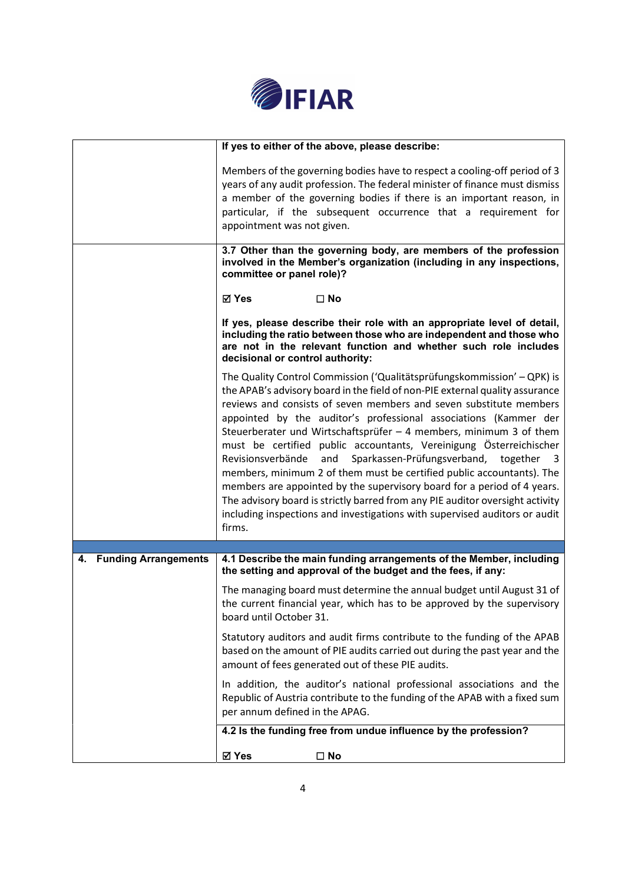

|                                   | If yes to either of the above, please describe:                                                                                                                                                                                                                                                                                                                                                                                                                                                                                                                                                                                                                                                                                                                                                                                                       |  |
|-----------------------------------|-------------------------------------------------------------------------------------------------------------------------------------------------------------------------------------------------------------------------------------------------------------------------------------------------------------------------------------------------------------------------------------------------------------------------------------------------------------------------------------------------------------------------------------------------------------------------------------------------------------------------------------------------------------------------------------------------------------------------------------------------------------------------------------------------------------------------------------------------------|--|
|                                   | Members of the governing bodies have to respect a cooling-off period of 3<br>years of any audit profession. The federal minister of finance must dismiss<br>a member of the governing bodies if there is an important reason, in<br>particular, if the subsequent occurrence that a requirement for<br>appointment was not given.                                                                                                                                                                                                                                                                                                                                                                                                                                                                                                                     |  |
|                                   | 3.7 Other than the governing body, are members of the profession<br>involved in the Member's organization (including in any inspections,<br>committee or panel role)?                                                                                                                                                                                                                                                                                                                                                                                                                                                                                                                                                                                                                                                                                 |  |
|                                   | <b>⊠</b> Yes<br>$\square$ No                                                                                                                                                                                                                                                                                                                                                                                                                                                                                                                                                                                                                                                                                                                                                                                                                          |  |
|                                   | If yes, please describe their role with an appropriate level of detail,<br>including the ratio between those who are independent and those who<br>are not in the relevant function and whether such role includes<br>decisional or control authority:                                                                                                                                                                                                                                                                                                                                                                                                                                                                                                                                                                                                 |  |
|                                   | The Quality Control Commission ('Qualitätsprüfungskommission' - QPK) is<br>the APAB's advisory board in the field of non-PIE external quality assurance<br>reviews and consists of seven members and seven substitute members<br>appointed by the auditor's professional associations (Kammer der<br>Steuerberater und Wirtschaftsprüfer - 4 members, minimum 3 of them<br>must be certified public accountants, Vereinigung Österreichischer<br>Revisionsverbände<br>and<br>Sparkassen-Prüfungsverband, together<br>- 3<br>members, minimum 2 of them must be certified public accountants). The<br>members are appointed by the supervisory board for a period of 4 years.<br>The advisory board is strictly barred from any PIE auditor oversight activity<br>including inspections and investigations with supervised auditors or audit<br>firms. |  |
|                                   |                                                                                                                                                                                                                                                                                                                                                                                                                                                                                                                                                                                                                                                                                                                                                                                                                                                       |  |
| <b>Funding Arrangements</b><br>4. | 4.1 Describe the main funding arrangements of the Member, including<br>the setting and approval of the budget and the fees, if any:                                                                                                                                                                                                                                                                                                                                                                                                                                                                                                                                                                                                                                                                                                                   |  |
|                                   | The managing board must determine the annual budget until August 31 of<br>the current financial year, which has to be approved by the supervisory<br>board until October 31.                                                                                                                                                                                                                                                                                                                                                                                                                                                                                                                                                                                                                                                                          |  |
|                                   | Statutory auditors and audit firms contribute to the funding of the APAB<br>based on the amount of PIE audits carried out during the past year and the<br>amount of fees generated out of these PIE audits.                                                                                                                                                                                                                                                                                                                                                                                                                                                                                                                                                                                                                                           |  |
|                                   | In addition, the auditor's national professional associations and the<br>Republic of Austria contribute to the funding of the APAB with a fixed sum<br>per annum defined in the APAG.                                                                                                                                                                                                                                                                                                                                                                                                                                                                                                                                                                                                                                                                 |  |
|                                   | 4.2 Is the funding free from undue influence by the profession?                                                                                                                                                                                                                                                                                                                                                                                                                                                                                                                                                                                                                                                                                                                                                                                       |  |
|                                   | ⊠ Yes<br>$\square$ No                                                                                                                                                                                                                                                                                                                                                                                                                                                                                                                                                                                                                                                                                                                                                                                                                                 |  |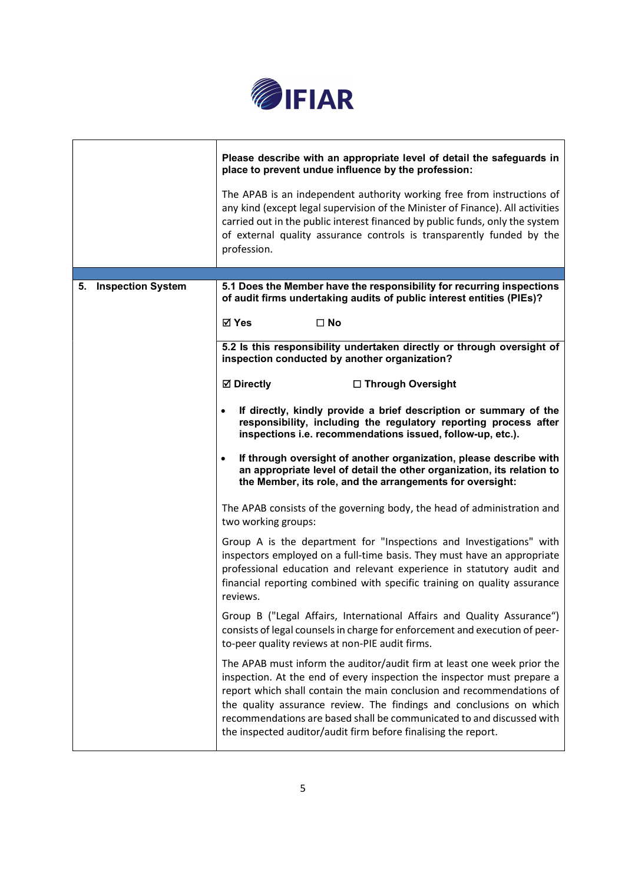

|                      | Please describe with an appropriate level of detail the safeguards in<br>place to prevent undue influence by the profession:<br>The APAB is an independent authority working free from instructions of<br>any kind (except legal supervision of the Minister of Finance). All activities<br>carried out in the public interest financed by public funds, only the system<br>of external quality assurance controls is transparently funded by the<br>profession. |  |
|----------------------|------------------------------------------------------------------------------------------------------------------------------------------------------------------------------------------------------------------------------------------------------------------------------------------------------------------------------------------------------------------------------------------------------------------------------------------------------------------|--|
| 5. Inspection System | 5.1 Does the Member have the responsibility for recurring inspections<br>of audit firms undertaking audits of public interest entities (PIEs)?                                                                                                                                                                                                                                                                                                                   |  |
|                      | ⊠ Yes<br>$\square$ No                                                                                                                                                                                                                                                                                                                                                                                                                                            |  |
|                      | 5.2 Is this responsibility undertaken directly or through oversight of<br>inspection conducted by another organization?                                                                                                                                                                                                                                                                                                                                          |  |
|                      | <b>⊠</b> Directly<br>□ Through Oversight                                                                                                                                                                                                                                                                                                                                                                                                                         |  |
|                      | If directly, kindly provide a brief description or summary of the<br>responsibility, including the regulatory reporting process after<br>inspections i.e. recommendations issued, follow-up, etc.).                                                                                                                                                                                                                                                              |  |
|                      | If through oversight of another organization, please describe with<br>$\bullet$<br>an appropriate level of detail the other organization, its relation to<br>the Member, its role, and the arrangements for oversight:                                                                                                                                                                                                                                           |  |
|                      | The APAB consists of the governing body, the head of administration and<br>two working groups:                                                                                                                                                                                                                                                                                                                                                                   |  |
|                      | Group A is the department for "Inspections and Investigations" with<br>inspectors employed on a full-time basis. They must have an appropriate<br>professional education and relevant experience in statutory audit and<br>financial reporting combined with specific training on quality assurance<br>reviews.                                                                                                                                                  |  |
|                      | Group B ("Legal Affairs, International Affairs and Quality Assurance")<br>consists of legal counsels in charge for enforcement and execution of peer-<br>to-peer quality reviews at non-PIE audit firms.                                                                                                                                                                                                                                                         |  |
|                      | The APAB must inform the auditor/audit firm at least one week prior the<br>inspection. At the end of every inspection the inspector must prepare a<br>report which shall contain the main conclusion and recommendations of<br>the quality assurance review. The findings and conclusions on which<br>recommendations are based shall be communicated to and discussed with<br>the inspected auditor/audit firm before finalising the report.                    |  |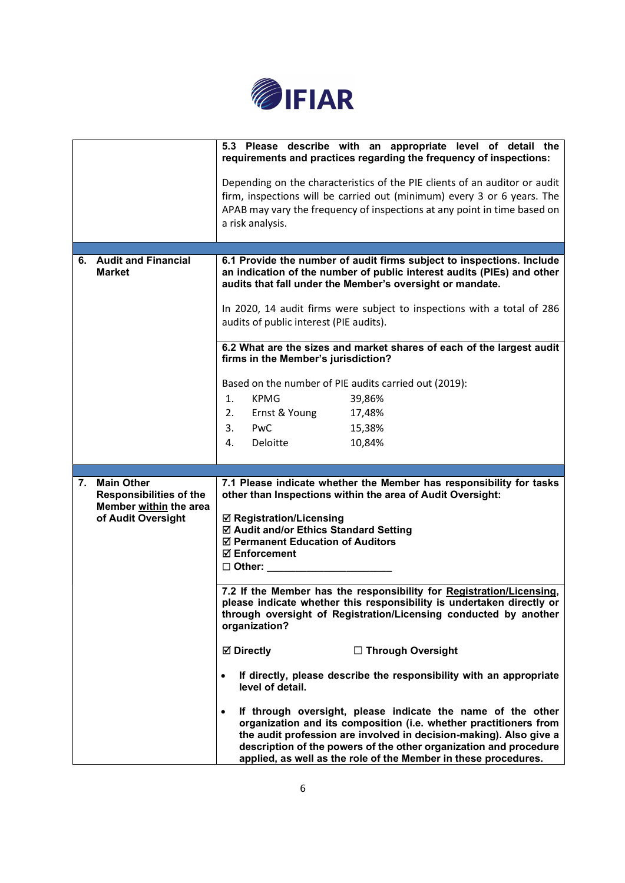

|    |                                                     | 5.3 Please describe with an appropriate level of detail the<br>requirements and practices regarding the frequency of inspections:                                                                                                                                                                                                              |  |
|----|-----------------------------------------------------|------------------------------------------------------------------------------------------------------------------------------------------------------------------------------------------------------------------------------------------------------------------------------------------------------------------------------------------------|--|
|    |                                                     | Depending on the characteristics of the PIE clients of an auditor or audit                                                                                                                                                                                                                                                                     |  |
|    |                                                     | firm, inspections will be carried out (minimum) every 3 or 6 years. The                                                                                                                                                                                                                                                                        |  |
|    |                                                     | APAB may vary the frequency of inspections at any point in time based on                                                                                                                                                                                                                                                                       |  |
|    |                                                     | a risk analysis.                                                                                                                                                                                                                                                                                                                               |  |
|    |                                                     |                                                                                                                                                                                                                                                                                                                                                |  |
|    | 6. Audit and Financial<br><b>Market</b>             | 6.1 Provide the number of audit firms subject to inspections. Include<br>an indication of the number of public interest audits (PIEs) and other<br>audits that fall under the Member's oversight or mandate.                                                                                                                                   |  |
|    |                                                     | In 2020, 14 audit firms were subject to inspections with a total of 286<br>audits of public interest (PIE audits).                                                                                                                                                                                                                             |  |
|    |                                                     | 6.2 What are the sizes and market shares of each of the largest audit<br>firms in the Member's jurisdiction?                                                                                                                                                                                                                                   |  |
|    |                                                     | Based on the number of PIE audits carried out (2019):                                                                                                                                                                                                                                                                                          |  |
|    |                                                     | <b>KPMG</b><br>1.<br>39,86%                                                                                                                                                                                                                                                                                                                    |  |
|    |                                                     | 2.<br>Ernst & Young<br>17,48%                                                                                                                                                                                                                                                                                                                  |  |
|    |                                                     | 3.<br>PwC<br>15,38%                                                                                                                                                                                                                                                                                                                            |  |
|    |                                                     | Deloitte<br>10,84%<br>4.                                                                                                                                                                                                                                                                                                                       |  |
|    |                                                     |                                                                                                                                                                                                                                                                                                                                                |  |
|    |                                                     |                                                                                                                                                                                                                                                                                                                                                |  |
| 7. | <b>Main Other</b><br><b>Responsibilities of the</b> | 7.1 Please indicate whether the Member has responsibility for tasks<br>other than Inspections within the area of Audit Oversight:                                                                                                                                                                                                              |  |
|    | Member within the area                              |                                                                                                                                                                                                                                                                                                                                                |  |
|    | of Audit Oversight                                  | <b>☑ Registration/Licensing</b>                                                                                                                                                                                                                                                                                                                |  |
|    |                                                     | ☑ Audit and/or Ethics Standard Setting<br>☑ Permanent Education of Auditors                                                                                                                                                                                                                                                                    |  |
|    |                                                     | <b>Ø</b> Enforcement                                                                                                                                                                                                                                                                                                                           |  |
|    |                                                     | □ Other:                                                                                                                                                                                                                                                                                                                                       |  |
|    |                                                     | 7.2 If the Member has the responsibility for Registration/Licensing,                                                                                                                                                                                                                                                                           |  |
|    |                                                     | please indicate whether this responsibility is undertaken directly or<br>through oversight of Registration/Licensing conducted by another<br>organization?                                                                                                                                                                                     |  |
|    |                                                     | <b>☑</b> Directly<br>□ Through Oversight                                                                                                                                                                                                                                                                                                       |  |
|    |                                                     | If directly, please describe the responsibility with an appropriate<br>level of detail.                                                                                                                                                                                                                                                        |  |
|    |                                                     | If through oversight, please indicate the name of the other<br>organization and its composition (i.e. whether practitioners from<br>the audit profession are involved in decision-making). Also give a<br>description of the powers of the other organization and procedure<br>applied, as well as the role of the Member in these procedures. |  |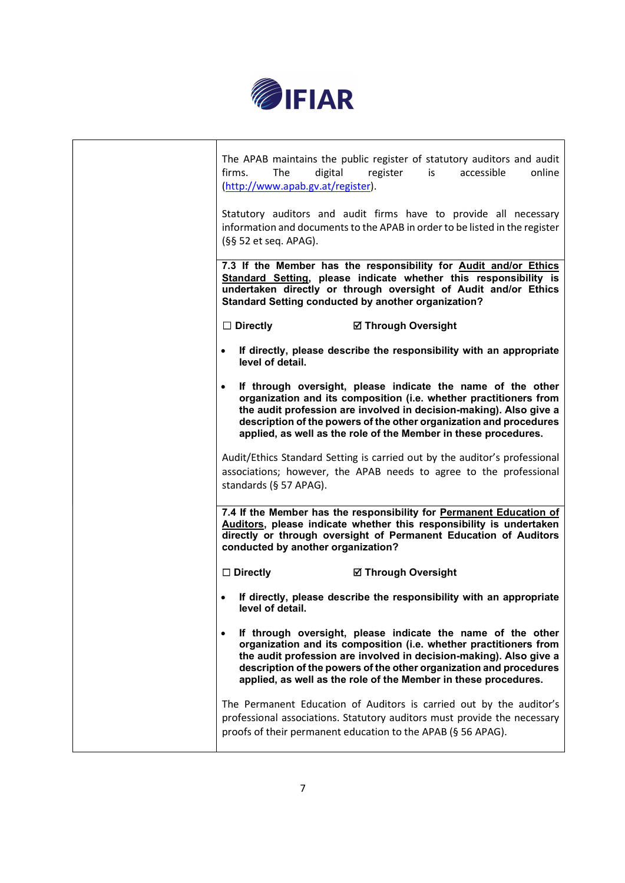

| The APAB maintains the public register of statutory auditors and audit<br>The<br>firms.<br>digital<br>(http://www.apab.gv.at/register).                                                                                                                                                                                                         | register<br>is             | accessible<br>online |
|-------------------------------------------------------------------------------------------------------------------------------------------------------------------------------------------------------------------------------------------------------------------------------------------------------------------------------------------------|----------------------------|----------------------|
| Statutory auditors and audit firms have to provide all necessary<br>information and documents to the APAB in order to be listed in the register<br>(§§ 52 et seq. APAG).                                                                                                                                                                        |                            |                      |
| 7.3 If the Member has the responsibility for Audit and/or Ethics<br>Standard Setting, please indicate whether this responsibility is<br>undertaken directly or through oversight of Audit and/or Ethics<br>Standard Setting conducted by another organization?                                                                                  |                            |                      |
| $\Box$ Directly                                                                                                                                                                                                                                                                                                                                 | <b>Ø Through Oversight</b> |                      |
| If directly, please describe the responsibility with an appropriate<br>level of detail.                                                                                                                                                                                                                                                         |                            |                      |
| If through oversight, please indicate the name of the other<br>organization and its composition (i.e. whether practitioners from<br>the audit profession are involved in decision-making). Also give a<br>description of the powers of the other organization and procedures<br>applied, as well as the role of the Member in these procedures. |                            |                      |
| Audit/Ethics Standard Setting is carried out by the auditor's professional<br>associations; however, the APAB needs to agree to the professional<br>standards (§ 57 APAG).                                                                                                                                                                      |                            |                      |
| 7.4 If the Member has the responsibility for Permanent Education of<br>Auditors, please indicate whether this responsibility is undertaken<br>directly or through oversight of Permanent Education of Auditors<br>conducted by another organization?                                                                                            |                            |                      |
| $\Box$ Directly                                                                                                                                                                                                                                                                                                                                 | <b>Ø Through Oversight</b> |                      |
| If directly, please describe the responsibility with an appropriate<br>level of detail.                                                                                                                                                                                                                                                         |                            |                      |
| If through oversight, please indicate the name of the other<br>organization and its composition (i.e. whether practitioners from<br>the audit profession are involved in decision-making). Also give a<br>description of the powers of the other organization and procedures<br>applied, as well as the role of the Member in these procedures. |                            |                      |
| The Permanent Education of Auditors is carried out by the auditor's<br>professional associations. Statutory auditors must provide the necessary<br>proofs of their permanent education to the APAB (§ 56 APAG).                                                                                                                                 |                            |                      |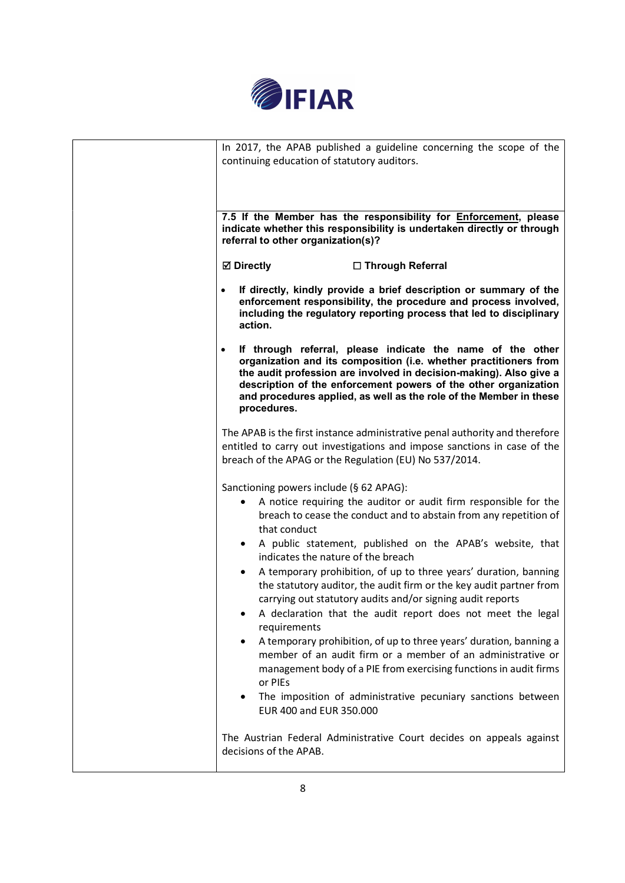

| In 2017, the APAB published a guideline concerning the scope of the<br>continuing education of statutory auditors.                                                                                                                                                                                                                                                                                                                                                                                                                                                                                                                                                                                                                                                                                                                                                                                                       |  |
|--------------------------------------------------------------------------------------------------------------------------------------------------------------------------------------------------------------------------------------------------------------------------------------------------------------------------------------------------------------------------------------------------------------------------------------------------------------------------------------------------------------------------------------------------------------------------------------------------------------------------------------------------------------------------------------------------------------------------------------------------------------------------------------------------------------------------------------------------------------------------------------------------------------------------|--|
| 7.5 If the Member has the responsibility for <b>Enforcement</b> , please<br>indicate whether this responsibility is undertaken directly or through<br>referral to other organization(s)?                                                                                                                                                                                                                                                                                                                                                                                                                                                                                                                                                                                                                                                                                                                                 |  |
| <b>☑</b> Directly<br>□ Through Referral                                                                                                                                                                                                                                                                                                                                                                                                                                                                                                                                                                                                                                                                                                                                                                                                                                                                                  |  |
| If directly, kindly provide a brief description or summary of the<br>enforcement responsibility, the procedure and process involved,<br>including the regulatory reporting process that led to disciplinary<br>action.                                                                                                                                                                                                                                                                                                                                                                                                                                                                                                                                                                                                                                                                                                   |  |
| If through referral, please indicate the name of the other<br>$\bullet$<br>organization and its composition (i.e. whether practitioners from<br>the audit profession are involved in decision-making). Also give a<br>description of the enforcement powers of the other organization<br>and procedures applied, as well as the role of the Member in these<br>procedures.                                                                                                                                                                                                                                                                                                                                                                                                                                                                                                                                               |  |
| The APAB is the first instance administrative penal authority and therefore<br>entitled to carry out investigations and impose sanctions in case of the<br>breach of the APAG or the Regulation (EU) No 537/2014.                                                                                                                                                                                                                                                                                                                                                                                                                                                                                                                                                                                                                                                                                                        |  |
| Sanctioning powers include (§ 62 APAG):<br>A notice requiring the auditor or audit firm responsible for the<br>breach to cease the conduct and to abstain from any repetition of<br>that conduct<br>A public statement, published on the APAB's website, that<br>$\bullet$<br>indicates the nature of the breach<br>A temporary prohibition, of up to three years' duration, banning<br>the statutory auditor, the audit firm or the key audit partner from<br>carrying out statutory audits and/or signing audit reports<br>A declaration that the audit report does not meet the legal<br>requirements<br>A temporary prohibition, of up to three years' duration, banning a<br>member of an audit firm or a member of an administrative or<br>management body of a PIE from exercising functions in audit firms<br>or PIEs<br>The imposition of administrative pecuniary sanctions between<br>EUR 400 and EUR 350.000 |  |
| The Austrian Federal Administrative Court decides on appeals against<br>decisions of the APAB.                                                                                                                                                                                                                                                                                                                                                                                                                                                                                                                                                                                                                                                                                                                                                                                                                           |  |